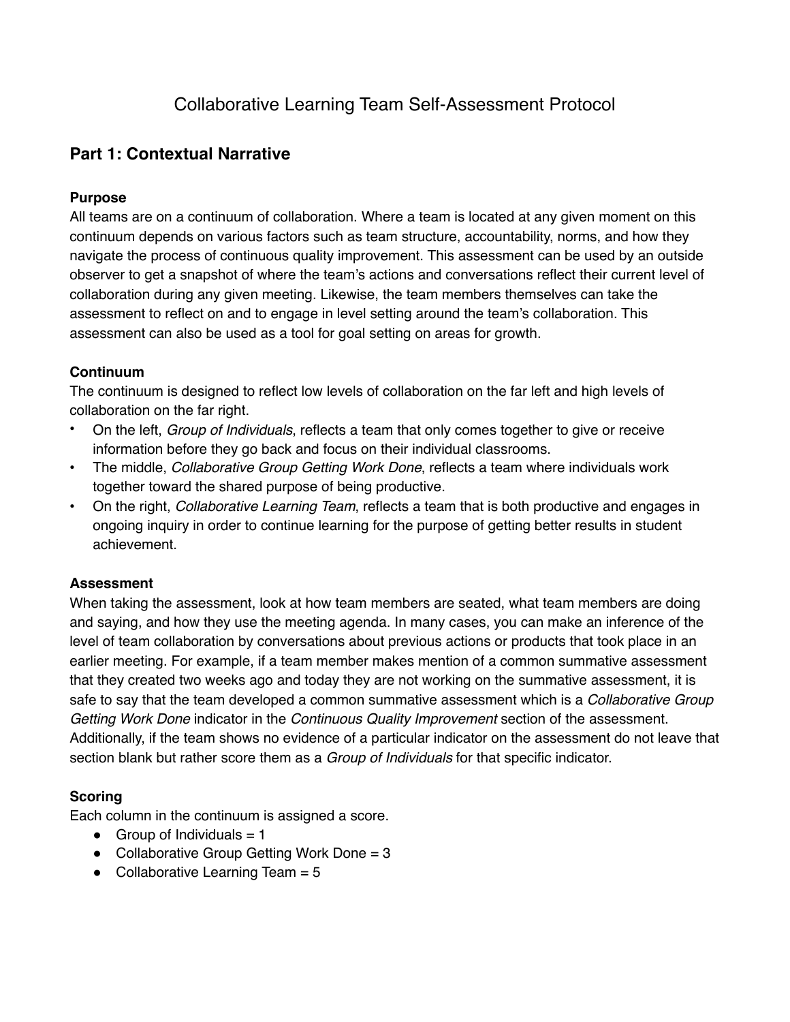# **Part 1: Contextual Narrative**

## **Purpose**

All teams are on a continuum of collaboration. Where a team is located at any given moment on this continuum depends on various factors such as team structure, accountability, norms, and how they navigate the process of continuous quality improvement. This assessment can be used by an outside observer to get a snapshot of where the team's actions and conversations reflect their current level of collaboration during any given meeting. Likewise, the team members themselves can take the assessment to reflect on and to engage in level setting around the team's collaboration. This assessment can also be used as a tool for goal setting on areas for growth.

### **Continuum**

The continuum is designed to reflect low levels of collaboration on the far left and high levels of collaboration on the far right.

- On the left, *Group of Individuals*, reflects a team that only comes together to give or receive information before they go back and focus on their individual classrooms.
- The middle, *Collaborative Group Getting Work Done*, reflects a team where individuals work together toward the shared purpose of being productive.
- On the right, *Collaborative Learning Team*, reflects a team that is both productive and engages in ongoing inquiry in order to continue learning for the purpose of getting better results in student achievement.

### **Assessment**

When taking the assessment, look at how team members are seated, what team members are doing and saying, and how they use the meeting agenda. In many cases, you can make an inference of the level of team collaboration by conversations about previous actions or products that took place in an earlier meeting. For example, if a team member makes mention of a common summative assessment that they created two weeks ago and today they are not working on the summative assessment, it is safe to say that the team developed a common summative assessment which is a *Collaborative Group Getting Work Done* indicator in the *Continuous Quality Improvement* section of the assessment. Additionally, if the team shows no evidence of a particular indicator on the assessment do not leave that section blank but rather score them as a *Group of Individuals* for that specific indicator.

## **Scoring**

Each column in the continuum is assigned a score.

- $\bullet$  Group of Individuals = 1
- $\bullet$  Collaborative Group Getting Work Done = 3
- $\bullet$  Collaborative Learning Team = 5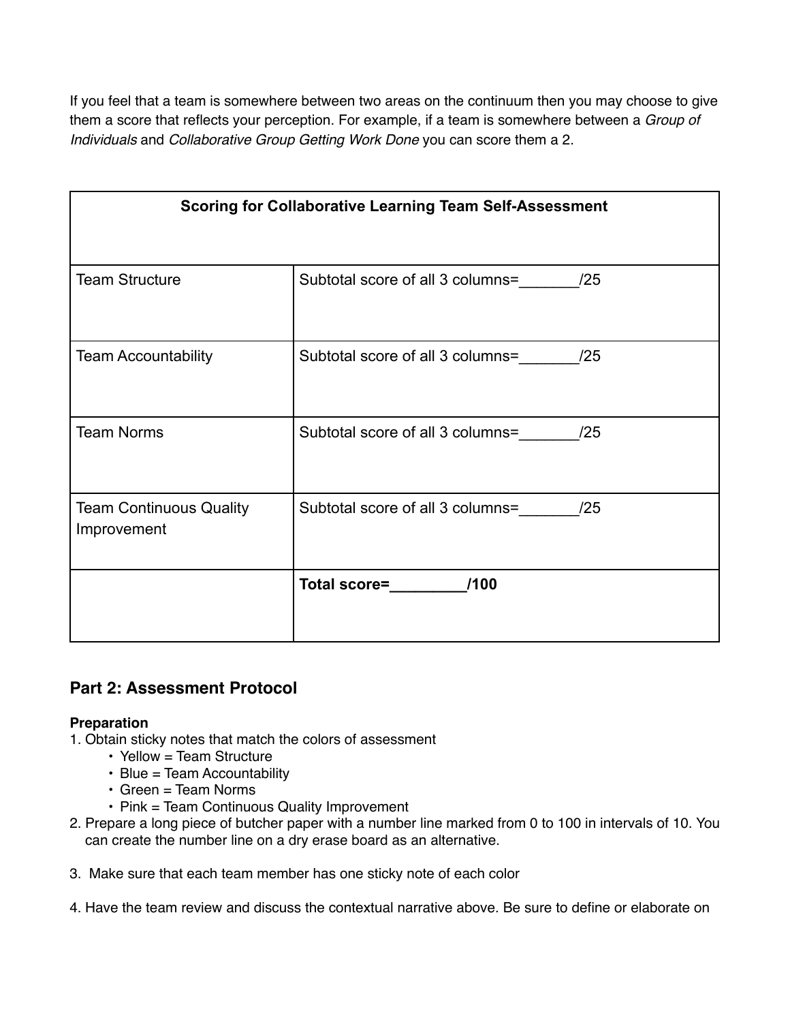If you feel that a team is somewhere between two areas on the continuum then you may choose to give them a score that reflects your perception. For example, if a team is somewhere between a *Group of Individuals* and *Collaborative Group Getting Work Done* you can score them a 2.

| <b>Scoring for Collaborative Learning Team Self-Assessment</b> |                                      |
|----------------------------------------------------------------|--------------------------------------|
| <b>Team Structure</b>                                          | Subtotal score of all 3 columns= /25 |
| <b>Team Accountability</b>                                     | Subtotal score of all 3 columns= /25 |
| <b>Team Norms</b>                                              | Subtotal score of all 3 columns= /25 |
| <b>Team Continuous Quality</b><br>Improvement                  | Subtotal score of all 3 columns= /25 |
|                                                                | Total score= <b>___________/100</b>  |

# **Part 2: Assessment Protocol**

### **Preparation**

- 1. Obtain sticky notes that match the colors of assessment
	- Yellow = Team Structure
	- Blue = Team Accountability
	- Green = Team Norms
	- Pink = Team Continuous Quality Improvement
- 2. Prepare a long piece of butcher paper with a number line marked from 0 to 100 in intervals of 10. You can create the number line on a dry erase board as an alternative.
- 3. Make sure that each team member has one sticky note of each color
- 4. Have the team review and discuss the contextual narrative above. Be sure to define or elaborate on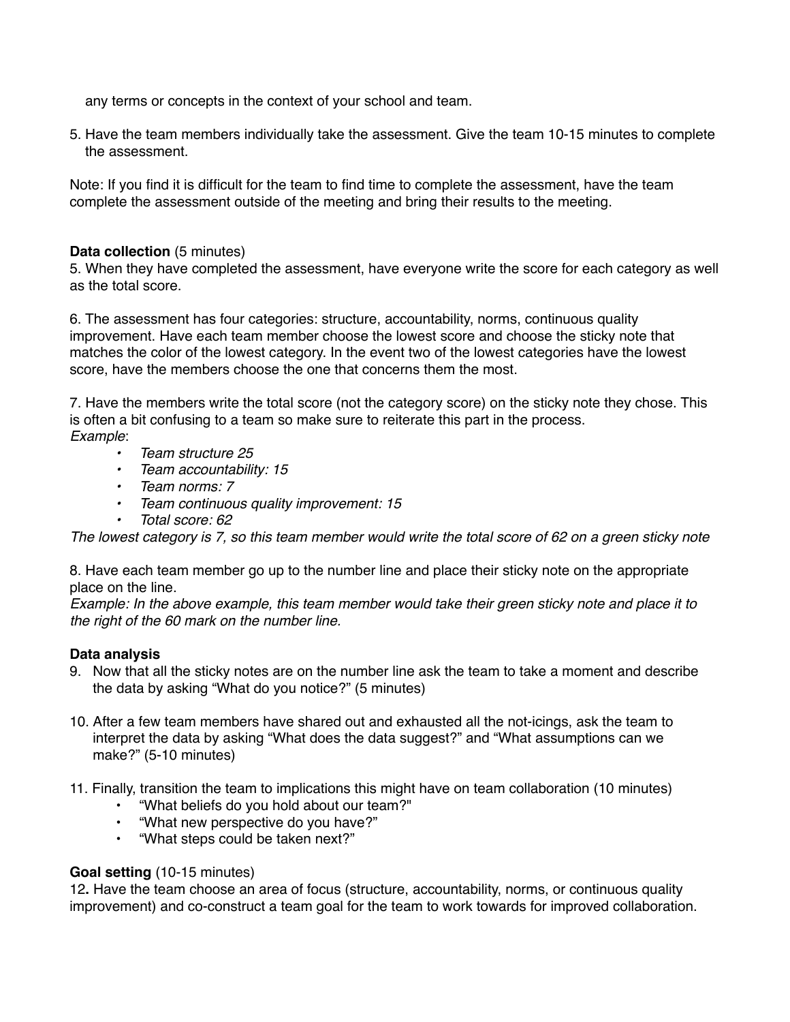any terms or concepts in the context of your school and team.

5. Have the team members individually take the assessment. Give the team 10-15 minutes to complete the assessment.

Note: If you find it is difficult for the team to find time to complete the assessment, have the team complete the assessment outside of the meeting and bring their results to the meeting.

#### **Data collection** (5 minutes)

5. When they have completed the assessment, have everyone write the score for each category as well as the total score.

6. The assessment has four categories: structure, accountability, norms, continuous quality improvement. Have each team member choose the lowest score and choose the sticky note that matches the color of the lowest category. In the event two of the lowest categories have the lowest score, have the members choose the one that concerns them the most.

7. Have the members write the total score (not the category score) on the sticky note they chose. This is often a bit confusing to a team so make sure to reiterate this part in the process. *Example*:

- *• Team structure 25*
- *• Team accountability: 15*
- *• Team norms: 7*
- *• Team continuous quality improvement: 15*
- *• Total score: 62*

*The lowest category is 7, so this team member would write the total score of 62 on a green sticky note*

8. Have each team member go up to the number line and place their sticky note on the appropriate place on the line.

*Example: In the above example, this team member would take their green sticky note and place it to the right of the 60 mark on the number line.*

### **Data analysis**

- 9. Now that all the sticky notes are on the number line ask the team to take a moment and describe the data by asking "What do you notice?" (5 minutes)
- 10. After a few team members have shared out and exhausted all the not-icings, ask the team to interpret the data by asking "What does the data suggest?" and "What assumptions can we make?" (5-10 minutes)
- 11. Finally, transition the team to implications this might have on team collaboration (10 minutes)
	- "What beliefs do you hold about our team?"
	- "What new perspective do you have?"
	- "What steps could be taken next?"

#### **Goal setting** (10-15 minutes)

12**.** Have the team choose an area of focus (structure, accountability, norms, or continuous quality improvement) and co-construct a team goal for the team to work towards for improved collaboration.